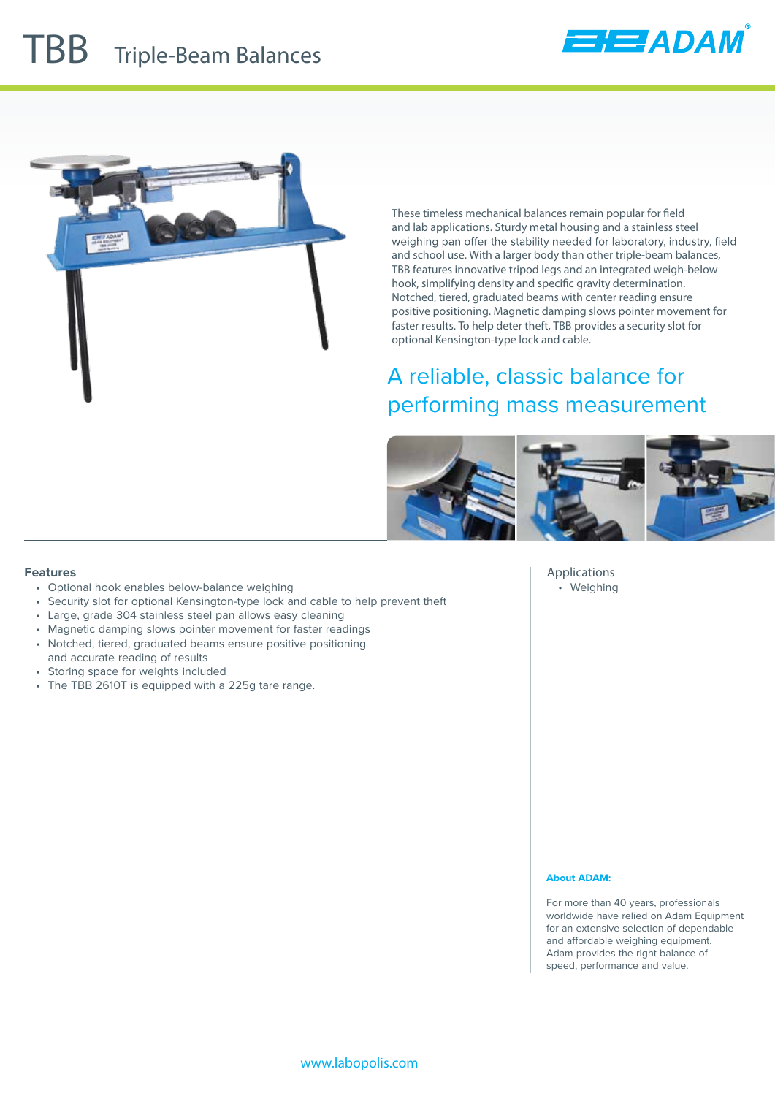





These timeless mechanical balances remain popular for field and lab applications. Sturdy metal housing and a stainless steel weighing pan offer the stability needed for laboratory, industry, field and school use. With a larger body than other triple-beam balances, TBB features innovative tripod legs and an integrated weigh-below hook, simplifying density and specific gravity determination. Notched, tiered, graduated beams with center reading ensure positive positioning. Magnetic damping slows pointer movement for faster results. To help deter theft, TBB provides a security slot for optional Kensington-type lock and cable.

## A reliable, classic balance for performing mass measurement



#### **Features**

- Optional hook enables below-balance weighing
- Security slot for optional Kensington-type lock and cable to help prevent theft
- Large, grade 304 stainless steel pan allows easy cleaning
- Magnetic damping slows pointer movement for faster readings
- Notched, tiered, graduated beams ensure positive positioning
- and accurate reading of results
- Storing space for weights included
- The TBB 2610T is equipped with a 225g tare range.

**Applications** • Weighing

#### **About ADAM:**

For more than 40 years, professionals worldwide have relied on Adam Equipment for an extensive selection of dependable and affordable weighing equipment. Adam provides the right balance of speed, performance and value.